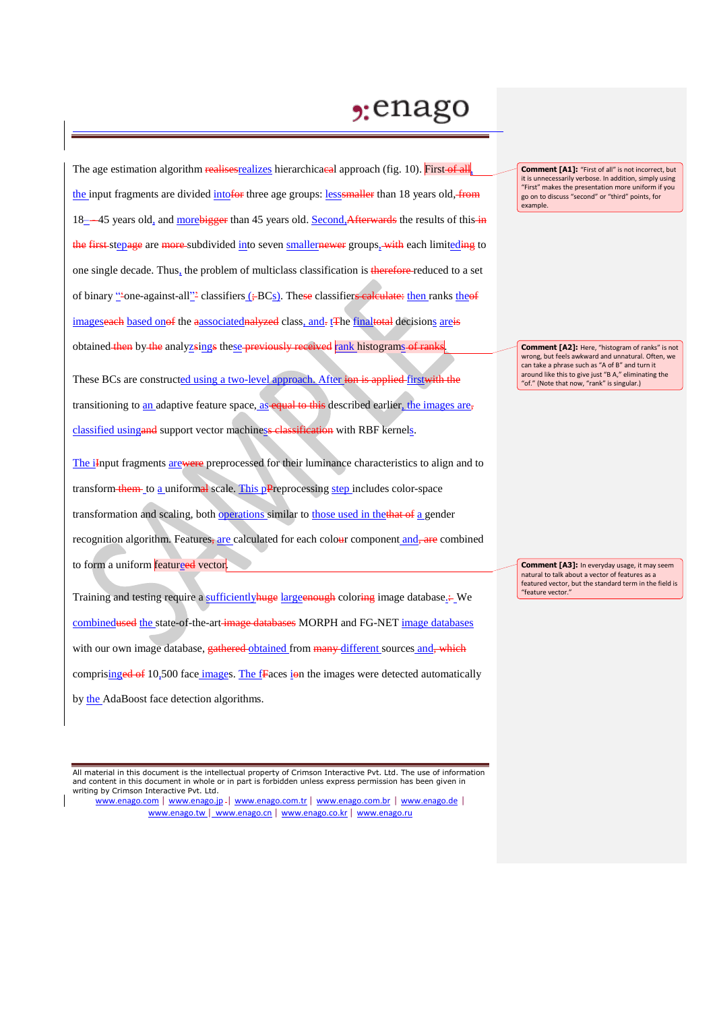## $2:$ enago

The age estimation algorithm realises realizes hierarchicacal approach (fig. 10). First of all, the input fragments are divided intofor three age groups: less smaller than 18 years old, from 18—45 years old, and morebigger than 45 years old. Second, Afterwards the results of this in the first-stepage are more-subdivided into seven smallernewer groups, with each limiteding to one single decade. Thus, the problem of multiclass classification is therefore reduced to a set of binary "'one-against-all''' classifiers (;-BCs). These classifiers calculate: then ranks theof imageseach based onof the aassociatednalyzed class, and-t The finaltotal decisions areis obtained then by the analyzsings these previously received rank histograms of ranks

These BCs are constructed using a two-level approach. After ion is applied first with the transitioning to an adaptive feature space, as equal to this described earlier, the images are, classified using and support vector machiness classification with RBF kernels.

The iInput fragments arewere preprocessed for their luminance characteristics to align and to transform them to a uniformal scale. This pPreprocessing step includes color-space transformation and scaling, both **operations** similar to those used in the that of a gender recognition algorithm. Features, are calculated for each colour component and, are combined to form a uniform featureed vector.

Training and testing require a sufficiently huge large enough coloring image database. - We combinedused the state-of-the-art image databases MORPH and FG-NET image databases with our own image database, gathered obtained from many different sources and, which comprisinged of 10,500 face images. The fraces ion the images were detected automatically by the AdaBoost face detection algorithms.

All material in this document is the intellectual property of Crimson Interactive Pvt. Ltd. The use of information and content in this document in whole or in part is forbidden unless express permission has been given in writing by Crimson Interactive Pvt. Ltd.

www.enago.com | www.enago.jp - | www.enago.com.tr | www.enago.com.br | www.enago.de | www.enago.tw | www.enago.cn | www.enago.co.kr | www.enago.ru

**Comment [A1]:** "First of all" is not incorrect, but it is unnecessarily verbose. In addition, simply using "First" makes the presentation more uniform if you go on to discuss "second" or "third" points, for example.

**Comment [A2]:** Here, "histogram of ranks" is not wrong, but feels awkward and unnatural. Often, we can take a phrase such as "A of B" and turn it around like this to give just "B A," eliminating the "of." (Note that now, "rank" is singular.)

**Comment [A3]:** In everyday usage, it may seem natural to talk about a vector of features as a featured vector, but the standard term in the field is "feature vector."